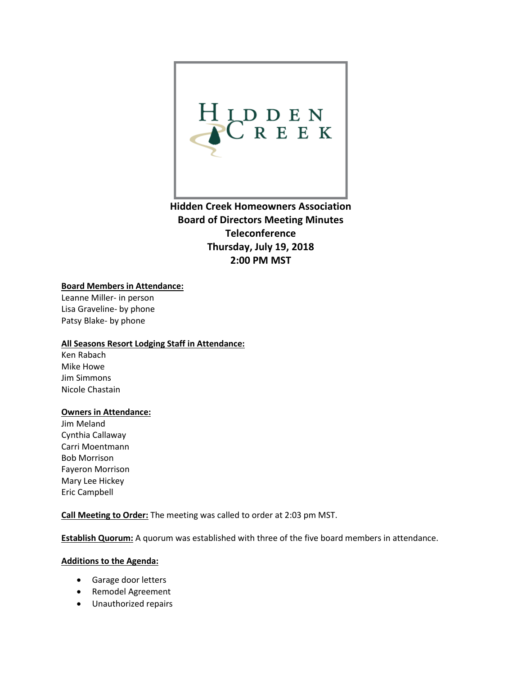

**Hidden Creek Homeowners Association Board of Directors Meeting Minutes Teleconference Thursday, July 19, 2018 2:00 PM MST**

## **Board Members in Attendance:**

Leanne Miller- in person Lisa Graveline- by phone Patsy Blake- by phone

## **All Seasons Resort Lodging Staff in Attendance:**

Ken Rabach Mike Howe Jim Simmons Nicole Chastain

# **Owners in Attendance:**

Jim Meland Cynthia Callaway Carri Moentmann Bob Morrison Fayeron Morrison Mary Lee Hickey Eric Campbell

**Call Meeting to Order:** The meeting was called to order at 2:03 pm MST.

**Establish Quorum:** A quorum was established with three of the five board members in attendance.

#### **Additions to the Agenda:**

- Garage door letters
- Remodel Agreement
- Unauthorized repairs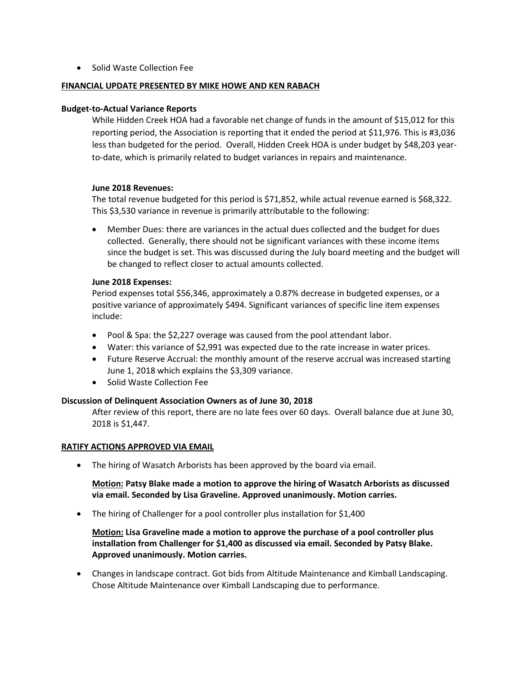• Solid Waste Collection Fee

#### **FINANCIAL UPDATE PRESENTED BY MIKE HOWE AND KEN RABACH**

#### **Budget-to-Actual Variance Reports**

While Hidden Creek HOA had a favorable net change of funds in the amount of \$15,012 for this reporting period, the Association is reporting that it ended the period at \$11,976. This is #3,036 less than budgeted for the period. Overall, Hidden Creek HOA is under budget by \$48,203 yearto-date, which is primarily related to budget variances in repairs and maintenance.

#### **June 2018 Revenues:**

The total revenue budgeted for this period is \$71,852, while actual revenue earned is \$68,322. This \$3,530 variance in revenue is primarily attributable to the following:

• Member Dues: there are variances in the actual dues collected and the budget for dues collected. Generally, there should not be significant variances with these income items since the budget is set. This was discussed during the July board meeting and the budget will be changed to reflect closer to actual amounts collected.

#### **June 2018 Expenses:**

Period expenses total \$56,346, approximately a 0.87% decrease in budgeted expenses, or a positive variance of approximately \$494. Significant variances of specific line item expenses include:

- Pool & Spa: the \$2,227 overage was caused from the pool attendant labor.
- Water: this variance of \$2,991 was expected due to the rate increase in water prices.
- Future Reserve Accrual: the monthly amount of the reserve accrual was increased starting June 1, 2018 which explains the \$3,309 variance.
- Solid Waste Collection Fee

## **Discussion of Delinquent Association Owners as of June 30, 2018**

After review of this report, there are no late fees over 60 days. Overall balance due at June 30, 2018 is \$1,447.

#### **RATIFY ACTIONS APPROVED VIA EMAIL**

• The hiring of Wasatch Arborists has been approved by the board via email.

**Motion: Patsy Blake made a motion to approve the hiring of Wasatch Arborists as discussed via email. Seconded by Lisa Graveline. Approved unanimously. Motion carries.** 

• The hiring of Challenger for a pool controller plus installation for \$1,400

**Motion: Lisa Graveline made a motion to approve the purchase of a pool controller plus installation from Challenger for \$1,400 as discussed via email. Seconded by Patsy Blake. Approved unanimously. Motion carries.** 

• Changes in landscape contract. Got bids from Altitude Maintenance and Kimball Landscaping. Chose Altitude Maintenance over Kimball Landscaping due to performance.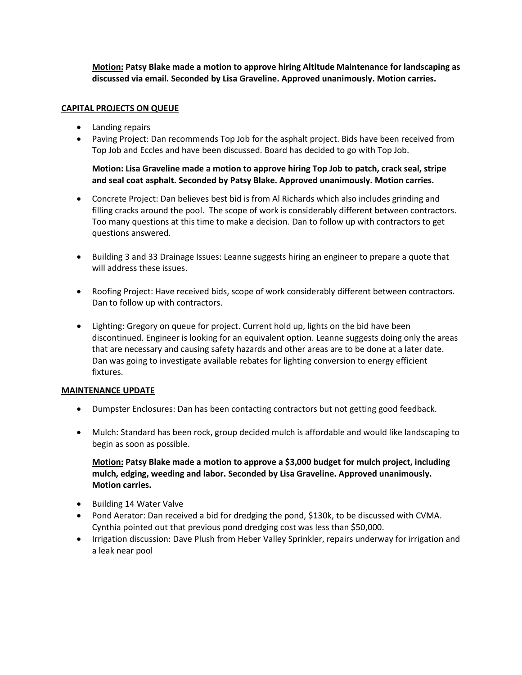**Motion: Patsy Blake made a motion to approve hiring Altitude Maintenance for landscaping as discussed via email. Seconded by Lisa Graveline. Approved unanimously. Motion carries.** 

# **CAPITAL PROJECTS ON QUEUE**

- Landing repairs
- Paving Project: Dan recommends Top Job for the asphalt project. Bids have been received from Top Job and Eccles and have been discussed. Board has decided to go with Top Job.

**Motion: Lisa Graveline made a motion to approve hiring Top Job to patch, crack seal, stripe and seal coat asphalt. Seconded by Patsy Blake. Approved unanimously. Motion carries.** 

- Concrete Project: Dan believes best bid is from Al Richards which also includes grinding and filling cracks around the pool. The scope of work is considerably different between contractors. Too many questions at this time to make a decision. Dan to follow up with contractors to get questions answered.
- Building 3 and 33 Drainage Issues: Leanne suggests hiring an engineer to prepare a quote that will address these issues.
- Roofing Project: Have received bids, scope of work considerably different between contractors. Dan to follow up with contractors.
- Lighting: Gregory on queue for project. Current hold up, lights on the bid have been discontinued. Engineer is looking for an equivalent option. Leanne suggests doing only the areas that are necessary and causing safety hazards and other areas are to be done at a later date. Dan was going to investigate available rebates for lighting conversion to energy efficient fixtures.

## **MAINTENANCE UPDATE**

- Dumpster Enclosures: Dan has been contacting contractors but not getting good feedback.
- Mulch: Standard has been rock, group decided mulch is affordable and would like landscaping to begin as soon as possible.

**Motion: Patsy Blake made a motion to approve a \$3,000 budget for mulch project, including mulch, edging, weeding and labor. Seconded by Lisa Graveline. Approved unanimously. Motion carries.** 

- Building 14 Water Valve
- Pond Aerator: Dan received a bid for dredging the pond, \$130k, to be discussed with CVMA. Cynthia pointed out that previous pond dredging cost was less than \$50,000.
- Irrigation discussion: Dave Plush from Heber Valley Sprinkler, repairs underway for irrigation and a leak near pool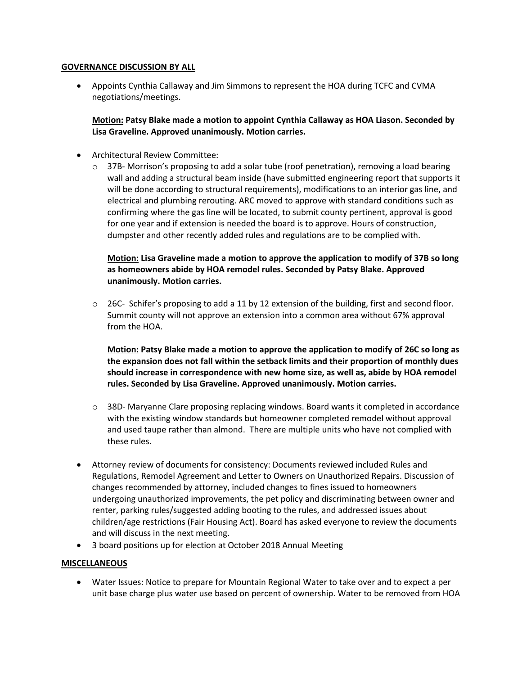#### **GOVERNANCE DISCUSSION BY ALL**

• Appoints Cynthia Callaway and Jim Simmons to represent the HOA during TCFC and CVMA negotiations/meetings.

**Motion: Patsy Blake made a motion to appoint Cynthia Callaway as HOA Liason. Seconded by Lisa Graveline. Approved unanimously. Motion carries.** 

- Architectural Review Committee:
	- $\circ$  37B- Morrison's proposing to add a solar tube (roof penetration), removing a load bearing wall and adding a structural beam inside (have submitted engineering report that supports it will be done according to structural requirements), modifications to an interior gas line, and electrical and plumbing rerouting. ARC moved to approve with standard conditions such as confirming where the gas line will be located, to submit county pertinent, approval is good for one year and if extension is needed the board is to approve. Hours of construction, dumpster and other recently added rules and regulations are to be complied with.

# **Motion: Lisa Graveline made a motion to approve the application to modify of 37B so long as homeowners abide by HOA remodel rules. Seconded by Patsy Blake. Approved unanimously. Motion carries.**

 $\circ$  26C- Schifer's proposing to add a 11 by 12 extension of the building, first and second floor. Summit county will not approve an extension into a common area without 67% approval from the HOA.

**Motion: Patsy Blake made a motion to approve the application to modify of 26C so long as the expansion does not fall within the setback limits and their proportion of monthly dues should increase in correspondence with new home size, as well as, abide by HOA remodel rules. Seconded by Lisa Graveline. Approved unanimously. Motion carries.**

- o 38D- Maryanne Clare proposing replacing windows. Board wants it completed in accordance with the existing window standards but homeowner completed remodel without approval and used taupe rather than almond. There are multiple units who have not complied with these rules.
- Attorney review of documents for consistency: Documents reviewed included Rules and Regulations, Remodel Agreement and Letter to Owners on Unauthorized Repairs. Discussion of changes recommended by attorney, included changes to fines issued to homeowners undergoing unauthorized improvements, the pet policy and discriminating between owner and renter, parking rules/suggested adding booting to the rules, and addressed issues about children/age restrictions (Fair Housing Act). Board has asked everyone to review the documents and will discuss in the next meeting.
- 3 board positions up for election at October 2018 Annual Meeting

## **MISCELLANEOUS**

• Water Issues: Notice to prepare for Mountain Regional Water to take over and to expect a per unit base charge plus water use based on percent of ownership. Water to be removed from HOA